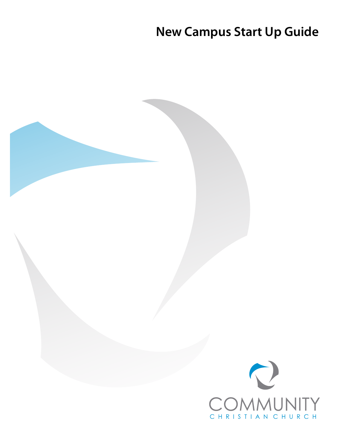# **New Campus Start Up Guide**

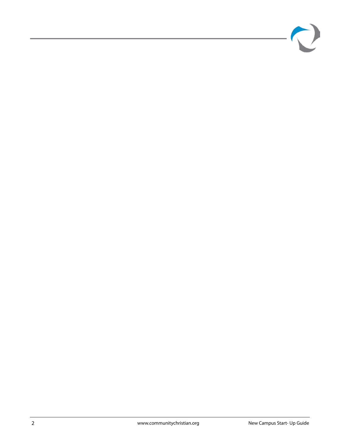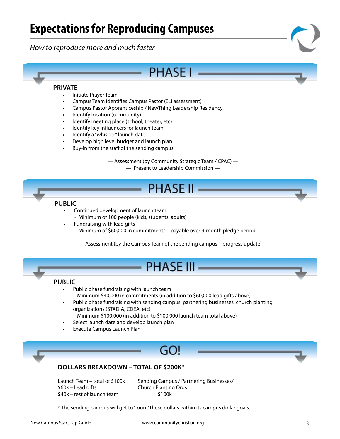# **Expectations for Reproducing Campuses**

*How to reproduce more and much faster*

# **PHASE I**

## **Private**

- Initiate Prayer Team
- Campus Team identifies Campus Pastor (ELI assessment)
- Campus Pastor Apprenticeship / NewThing Leadership Residency
- Identify location (community)
- Identify meeting place (school, theater, etc)
- Identify key influencers for launch team
- Identify a "whisper" launch date
- Develop high level budget and launch plan
- Buy-in from the staff of the sending campus

— Assessment (by Community Strategic Team / CPAC) —

— Present to Leadership Commission —



Continued development of launch team

 - Minimum of 100 people (kids, students, adults)

- Fundraising with lead gifts
	- Minimum of \$60,000 in commitments payable over 9-month pledge period

— Assessment (by the Campus Team of the sending campus – progress update) —

# **PHASE III -**

## **Public**

- Public phase fundraising with launch team
	- Minimum \$40,000 in commitments (in addition to \$60,000 lead gifts above)
- Public phase fundraising with sending campus, partnering businesses, church planting organizations (STADIA, CDEA, etc)
	- Minimum \$100,000 (in addition to \$100,000 launch team total above)
- Select launch date and develop launch plan
- **Execute Campus Launch Plan**

# GO!

## **Dollars Breakdown – total of \$200k\***

\$60k – Lead gifts Church Planting Orgs \$40k – rest of launch team **\$100k** 

Launch Team - total of \$100k Sending Campus / Partnering Businesses/

\* The sending campus will get to'count'these dollars within its campus dollar goals.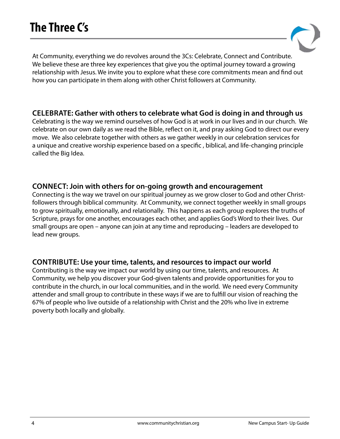At Community, everything we do revolves around the 3Cs: Celebrate, Connect and Contribute. We believe these are three key experiences that give you the optimal journey toward a growing relationship with Jesus. We invite you to explore what these core commitments mean and find out how you can participate in them along with other Christ followers at Community.

# **Celebrate: Gather with others to celebrate what God is doing in and through us**

Celebrating is the way we remind ourselves of how God is at work in our lives and in our church. We celebrate on our own daily as we read the Bible, reflect on it, and pray asking God to direct our every move. We also celebrate together with others as we gather weekly in our celebration services for a unique and creative worship experience based on a specific , biblical, and life-changing principle called the Big Idea.

# **Connect: Join with others for on-going growth and encouragement**

Connecting is the way we travel on our spiritual journey as we grow closer to God and other Christfollowers through biblical community. At Community, we connect together weekly in small groups to grow spiritually, emotionally, and relationally. This happens as each group explores the truths of Scripture, prays for one another, encourages each other, and applies God's Word to their lives. Our small groups are open – anyone can join at any time and reproducing – leaders are developed to lead new groups.

# **CONTRIBUTE: Use your time, talents, and resources to impact our world**

Contributing is the way we impact our world by using our time, talents, and resources. At Community, we help you discover your God-given talents and provide opportunities for you to contribute in the church, in our local communities, and in the world. We need every Community attender and small group to contribute in these ways if we are to fulfill our vision of reaching the 67% of people who live outside of a relationship with Christ and the 20% who live in extreme poverty both locally and globally.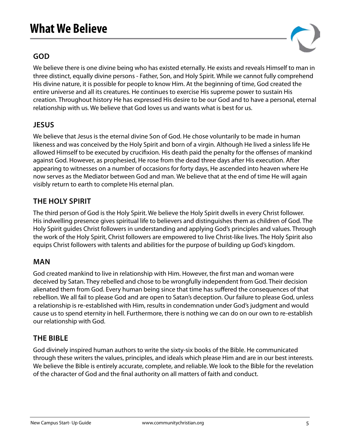

# **God**

We believe there is one divine being who has existed eternally. He exists and reveals Himself to man in three distinct, equally divine persons - Father, Son, and Holy Spirit. While we cannot fully comprehend His divine nature, it is possible for people to know Him. At the beginning of time, God created the entire universe and all its creatures. He continues to exercise His supreme power to sustain His creation. Throughout history He has expressed His desire to be our God and to have a personal, eternal relationship with us. We believe that God loves us and wants what is best for us.

# **Jesus**

We believe that Jesus is the eternal divine Son of God. He chose voluntarily to be made in human likeness and was conceived by the Holy Spirit and born of a virgin. Although He lived a sinless life He allowed Himself to be executed by crucifixion. His death paid the penalty for the offenses of mankind against God. However, as prophesied, He rose from the dead three days after His execution. After appearing to witnesses on a number of occasions for forty days, He ascended into heaven where He now serves as the Mediator between God and man. We believe that at the end of time He will again visibly return to earth to complete His eternal plan.

# **The Holy Spirit**

The third person of God is the Holy Spirit. We believe the Holy Spirit dwells in every Christ follower. His indwelling presence gives spiritual life to believers and distinguishes them as children of God. The Holy Spirit guides Christ followers in understanding and applying God's principles and values. Through the work of the Holy Spirit, Christ followers are empowered to live Christ-like lives. The Holy Spirit also equips Christ followers with talents and abilities for the purpose of building up God's kingdom.

# **Man**

God created mankind to live in relationship with Him. However, the first man and woman were deceived by Satan. They rebelled and chose to be wrongfully independent from God. Their decision alienated them from God. Every human being since that time has suffered the consequences of that rebellion. We all fail to please God and are open to Satan's deception. Our failure to please God, unless a relationship is re-established with Him, results in condemnation under God's judgment and would cause us to spend eternity in hell. Furthermore, there is nothing we can do on our own to re-establish our relationship with God.

# **The Bible**

God divinely inspired human authors to write the sixty-six books of the Bible. He communicated through these writers the values, principles, and ideals which please Him and are in our best interests. We believe the Bible is entirely accurate, complete, and reliable. We look to the Bible for the revelation of the character of God and the final authority on all matters of faith and conduct.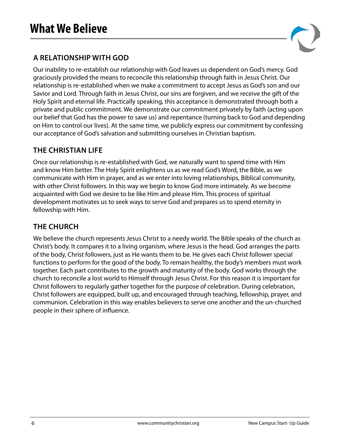

# **A Relationship with God**

Our inability to re-establish our relationship with God leaves us dependent on God's mercy. God graciously provided the means to reconcile this relationship through faith in Jesus Christ. Our relationship is re-established when we make a commitment to accept Jesus as God's son and our Savior and Lord. Through faith in Jesus Christ, our sins are forgiven, and we receive the gift of the Holy Spirit and eternal life. Practically speaking, this acceptance is demonstrated through both a private and public commitment. We demonstrate our commitment privately by faith (acting upon our belief that God has the power to save us) and repentance (turning back to God and depending on Him to control our lives). At the same time, we publicly express our commitment by confessing our acceptance of God's salvation and submitting ourselves in Christian baptism.

# **The Christian Life**

Once our relationship is re-established with God, we naturally want to spend time with Him and know Him better. The Holy Spirit enlightens us as we read God's Word, the Bible, as we communicate with Him in prayer, and as we enter into loving relationships, Biblical community, with other Christ followers. In this way we begin to know God more intimately. As we become acquainted with God we desire to be like Him and please Him. This process of spiritual development motivates us to seek ways to serve God and prepares us to spend eternity in fellowship with Him.

# **The Church**

We believe the church represents Jesus Christ to a needy world. The Bible speaks of the church as Christ's body. It compares it to a living organism, where Jesus is the head. God arranges the parts of the body, Christ followers, just as He wants them to be. He gives each Christ follower special functions to perform for the good of the body. To remain healthy, the body's members must work together. Each part contributes to the growth and maturity of the body. God works through the church to reconcile a lost world to Himself through Jesus Christ. For this reason it is important for Christ followers to regularly gather together for the purpose of celebration. During celebration, Christ followers are equipped, built up, and encouraged through teaching, fellowship, prayer, and communion. Celebration in this way enables believers to serve one another and the un-churched people in their sphere of influence.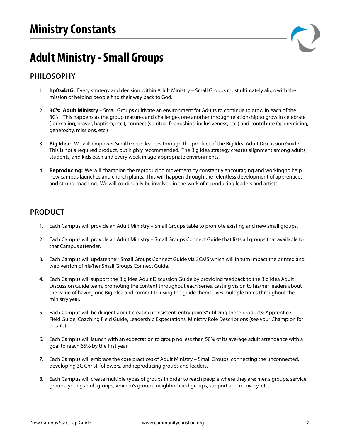

# **Adult Ministry - Small Groups**

# **Philosophy**

- 1. **hpftwbtG:** Every strategy and decision within Adult Ministry Small Groups must ultimately align with the mission of helping people find their way back to God.
- 2. **3C's: Adult Ministry**  Small Groups cultivate an environment for Adults to continue to grow in each of the 3C's. This happens as the group matures and challenges one another through relationship to grow in celebrate (journaling, prayer, baptism, etc.), connect (spiritual friendships, inclusiveness, etc.) and contribute (apprenticing, generosity, missions, etc.)
- 3. **Big Idea:** We will empower Small Group leaders through the product of the Big Idea Adult Discussion Guide. This is not a required product, but highly recommended. The Big Idea strategy creates alignment among adults, students, and kids each and every week in age-appropriate environments.
- 4. **Reproducing:** We will champion the reproducing movement by constantly encouraging and working to help new campus launches and church plants. This will happen through the relentless development of apprentices and strong coaching. We will continually be involved in the work of reproducing leaders and artists.

# **Product**

- 1. Each Campus will provide an Adult Ministry Small Groups table to promote existing and new small groups.
- 2. Each Campus will provide an Adult Ministry Small Groups Connect Guide that lists all groups that available to that Campus attender.
- 3. Each Campus will update their Small Groups Connect Guide via 3CMS which will in turn impact the printed and web version of his/her Small Groups Connect Guide.
- 4. Each Campus will support the Big Idea Adult Discussion Guide by providing feedback to the Big Idea Adult Discussion Guide team, promoting the content throughout each series, casting vision to his/her leaders about the value of having one Big Idea and commit to using the guide themselves multiple times throughout the ministry year.
- 5. Each Campus will be diligent about creating consistent "entry points" utilizing these products: Apprentice Field Guide, Coaching Field Guide, Leadership Expectations, Ministry Role Descriptions (see your Champion for details).
- 6. Each Campus will launch with an expectation to group no less than 50% of its average adult attendance with a goal to reach 65% by the first year.
- 7. Each Campus will embrace the core practices of Adult Ministry Small Groups: connecting the unconnected, developing 3C Christ-followers, and reproducing groups and leaders.
- 8. Each Campus will create multiple types of groups in order to reach people where they are: men's groups, service groups, young adult groups, women's groups, neighborhood groups, support and recovery, etc.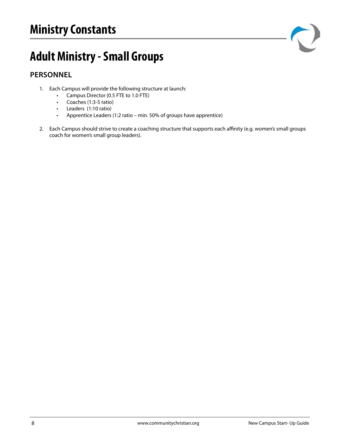

# **Adult Ministry - Small Groups**

# **Personnel**

- 1. Each Campus will provide the following structure at launch:
	- • Campus Director (0.5 FTE to 1.0 FTE)
	- • Coaches (1:3-5 ratio)
	- • Leaders (1:10 ratio)
	- • Apprentice Leaders (1:2 ratio min. 50% of groups have apprentice)
- 2. Each Campus should strive to create a coaching structure that supports each affinity (e.g. women's small groups coach for women's small group leaders).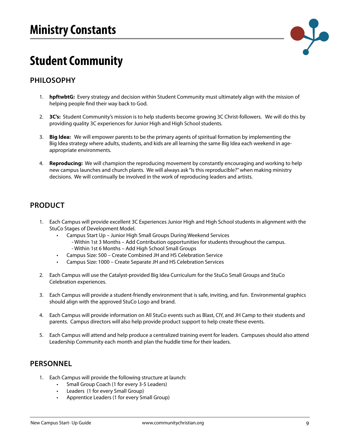

# **Student Community**

# **Philosophy**

- 1. **hpftwbtG:** Every strategy and decision within Student Community must ultimately align with the mission of helping people find their way back to God.
- 2. **3C's:** Student Community's mission is to help students become growing 3C Christ-followers. We will do this by providing quality 3C experiences for Junior High and High School students.
- 3. **Big Idea:** We will empower parents to be the primary agents of spiritual formation by implementing the Big Idea strategy where adults, students, and kids are all learning the same Big Idea each weekend in ageappropriate environments.
- 4. **Reproducing:** We will champion the reproducing movement by constantly encouraging and working to help new campus launches and church plants. We will always ask "Is this reproducible?"when making ministry decisions. We will continually be involved in the work of reproducing leaders and artists.

# **Product**

- 1. Each Campus will provide excellent 3C Experiences Junior High and High School students in alignment with the StuCo Stages of Development Model.
	- Campus Start Up Junior High Small Groups During Weekend Services
		- Within 1st 3 Months Add Contribution opportunities for students throughout the campus. - Within 1st 6 Months – Add High School Small Groups
	- • Campus Size: 500 Create Combined JH and HS Celebration Service
	- Campus Size: 1000 Create Separate JH and HS Celebration Services
- 2. Each Campus will use the Catalyst-provided Big Idea Curriculum for the StuCo Small Groups and StuCo Celebration experiences.
- 3. Each Campus will provide a student-friendly environment that is safe, inviting, and fun. Environmental graphics should align with the approved StuCo Logo and brand.
- 4. Each Campus will provide information on All StuCo events such as Blast, CIY, and JH Camp to their students and parents. Campus directors will also help provide product support to help create these events.
- 5. Each Campus will attend and help produce a centralized training event for leaders. Campuses should also attend Leadership Community each month and plan the huddle time for their leaders.

# **Personnel**

- 1. Each Campus will provide the following structure at launch:
	- • Small Group Coach (1 for every 3-5 Leaders)
	- Leaders (1 for every Small Group)
	- Apprentice Leaders (1 for every Small Group)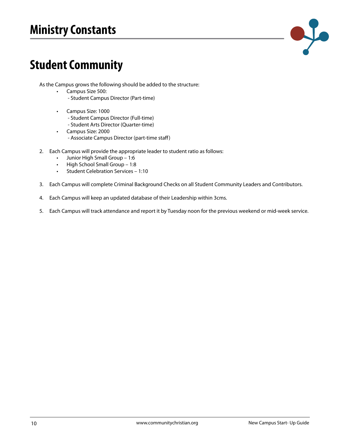# **Ministry Constants**



# **Student Community**

As the Campus grows the following should be added to the structure:

- • Campus Size 500: - Student Campus Director (Part-time)
- • Campus Size: 1000
	- Student Campus Director (Full-time)
	- Student Arts Director (Quarter-time)
- • Campus Size: 2000
	- Associate Campus Director (part-time staff)
- 2. Each Campus will provide the appropriate leader to student ratio as follows:
	- Junior High Small Group 1:6
	- • High School Small Group 1:8
	- • Student Celebration Services 1:10
- 3. Each Campus will complete Criminal Background Checks on all Student Community Leaders and Contributors.
- 4. Each Campus will keep an updated database of their Leadership within 3cms.
- 5. Each Campus will track attendance and report it by Tuesday noon for the previous weekend or mid-week service.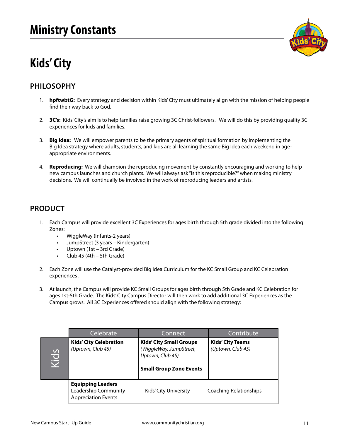# **Kids' City**

# **Philosophy**

- 1. **hpftwbtG:** Every strategy and decision within Kids' City must ultimately align with the mission of helping people find their way back to God.
- 2. **3C's:** Kids'City's aim is to help families raise growing 3C Christ-followers. We will do this by providing quality 3C experiences for kids and families.
- 3. **Big Idea:** We will empower parents to be the primary agents of spiritual formation by implementing the Big Idea strategy where adults, students, and kids are all learning the same Big Idea each weekend in ageappropriate environments.
- 4. **Reproducing:** We will champion the reproducing movement by constantly encouraging and working to help new campus launches and church plants. We will always ask "Is this reproducible?"when making ministry decisions. We will continually be involved in the work of reproducing leaders and artists.

# **Product**

- 1. Each Campus will provide excellent 3C Experiences for ages birth through 5th grade divided into the following Zones:
	- WiggleWay (Infants-2 years)
	- • JumpStreet (3 years Kindergarten)
	- • Uptown (1st 3rd Grade)
	- Club 45 (4th  $-$  5th Grade)
- 2. Each Zone will use the Catalyst-provided Big Idea Curriculum for the KC Small Group and KC Celebration experiences .
- 3. At launch, the Campus will provide KC Small Groups for ages birth through 5th Grade and KC Celebration for ages 1st-5th Grade. The Kids'City Campus Director will then work to add additional 3C Experiences as the Campus grows. All 3C Experiences offered should align with the following strategy:

|      | Celebrate                                                                      | Connect                                                                                                         | Contribute                                   |
|------|--------------------------------------------------------------------------------|-----------------------------------------------------------------------------------------------------------------|----------------------------------------------|
| Kids | <b>Kids' City Celebration</b><br>(Uptown, Club 45)                             | <b>Kids' City Small Groups</b><br>(WiggleWay, JumpStreet,<br>Uptown, Club 45)<br><b>Small Group Zone Events</b> | <b>Kids' City Teams</b><br>(Uptown, Club 45) |
|      | <b>Equipping Leaders</b><br>Leadership Community<br><b>Appreciation Events</b> | Kids' City University                                                                                           | <b>Coaching Relationships</b>                |

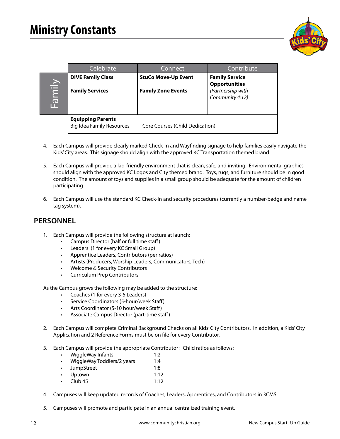

|        | Celebrate                                                    | Connect                         | Contribute                                    |
|--------|--------------------------------------------------------------|---------------------------------|-----------------------------------------------|
|        | <b>DIVE Family Class</b>                                     | <b>StuCo Move-Up Event</b>      | <b>Family Service</b><br><b>Opportunities</b> |
| Family | <b>Family Services</b>                                       | <b>Family Zone Events</b>       | (Partnership with<br>Community 4:12)          |
|        | <b>Equipping Parents</b><br><b>Big Idea Family Resources</b> | Core Courses (Child Dedication) |                                               |

- 4. Each Campus will provide clearly marked Check-In and Wayfinding signage to help families easily navigate the Kids'City areas. This signage should align with the approved KC Transportation themed brand.
- 5. Each Campus will provide a kid-friendly environment that is clean, safe, and inviting. Environmental graphics should align with the approved KC Logos and City themed brand. Toys, rugs, and furniture should be in good condition. The amount of toys and supplies in a small group should be adequate for the amount of children participating.
- 6. Each Campus will use the standard KC Check-In and security procedures (currently a number-badge and name tag system).

# **Personnel**

- 1. Each Campus will provide the following structure at launch:
	- • Campus Director (half or full time staff)
	- Leaders (1 for every KC Small Group)
	- • Apprentice Leaders, Contributors (per ratios)
	- Artists (Producers, Worship Leaders, Communicators, Tech)
	- Welcome & Security Contributors
	- • Curriculum Prep Contributors

As the Campus grows the following may be added to the structure:

- Coaches (1 for every 3-5 Leaders)
- Service Coordinators (5-hour/week Staff)
- • Arts Coordinator (5-10 hour/week Staff)
- Associate Campus Director (part-time staff)
- 2. Each Campus will complete Criminal Background Checks on all Kids' City Contributors. In addition, a Kids' City Application and 2 Reference Forms must be on file for every Contributor.
- 3. Each Campus will provide the appropriate Contributor : Child ratios as follows:
	- WiggleWay Infants **1:2** WiggleWay Toddlers/2 years 1:4 • JumpStreet 1:8
	- Uptown 1:12
	- Club 45 1:12
- 4. Campuses will keep updated records of Coaches, Leaders, Apprentices, and Contributors in 3CMS.
- 5. Campuses will promote and participate in an annual centralized training event.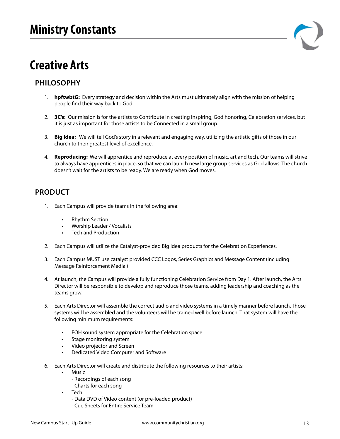

# **Creative Arts**

# **Philosophy**

- 1. **hpftwbtG:** Every strategy and decision within the Arts must ultimately align with the mission of helping people find their way back to God.
- 2. **3C's:** Our mission is for the artists to Contribute in creating inspiring, God honoring, Celebration services, but it is just as important for those artists to be Connected in a small group.
- 3. **Big Idea:** We will tell God's story in a relevant and engaging way, utilizing the artistic gifts of those in our church to their greatest level of excellence.
- 4. **Reproducing:** We will apprentice and reproduce at every position of music, art and tech. Our teams will strive to always have apprentices in place, so that we can launch new large group services as God allows. The church doesn't wait for the artists to be ready. We are ready when God moves.

# **Product**

- 1. Each Campus will provide teams in the following area:
	- **Rhythm Section**
	- • Worship Leader / Vocalists
	- **Tech and Production**
- 2. Each Campus will utilize the Catalyst-provided Big Idea products for the Celebration Experiences.
- 3. Each Campus MUST use catalyst provided CCC Logos, Series Graphics and Message Content (including Message Reinforcement Media.)
- 4. At launch, the Campus will provide a fully functioning Celebration Service from Day 1. After launch, the Arts Director will be responsible to develop and reproduce those teams, adding leadership and coaching as the teams grow.
- 5. Each Arts Director will assemble the correct audio and video systems in a timely manner before launch. Those systems will be assembled and the volunteers will be trained well before launch. That system will have the following minimum requirements:
	- • FOH sound system appropriate for the Celebration space
	- Stage monitoring system
	- Video projector and Screen
	- • Dedicated Video Computer and Software
- 6. Each Arts Director will create and distribute the following resources to their artists:
	- • Music
		- Recordings of each song
		- Charts for each song
		- Tech
			- Data DVD of Video content (or pre-loaded product)
			- Cue Sheets for Entire Service Team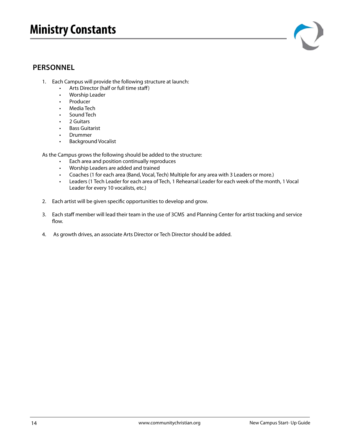

# **Personnel**

- 1. Each Campus will provide the following structure at launch:
	- • Arts Director (half or full time staff)
	- • Worship Leader
	- Producer
	- Media Tech
	- • Sound Tech
	- • 2 Guitars
	- • Bass Guitarist
	- • Drummer
	- • Background Vocalist

As the Campus grows the following should be added to the structure:

- • Each area and position continually reproduces
- • Worship Leaders are added and trained
- • Coaches (1 for each area (Band, Vocal, Tech) Multiple for any area with 3 Leaders or more.)
- • Leaders (1 Tech Leader for each area of Tech, 1 Rehearsal Leader for each week of the month, 1 Vocal Leader for every 10 vocalists, etc.)
- 2. Each artist will be given specific opportunities to develop and grow.
- 3. Each staff member will lead their team in the use of 3CMS and Planning Center for artist tracking and service flow.
- 4. As growth drives, an associate Arts Director or Tech Director should be added.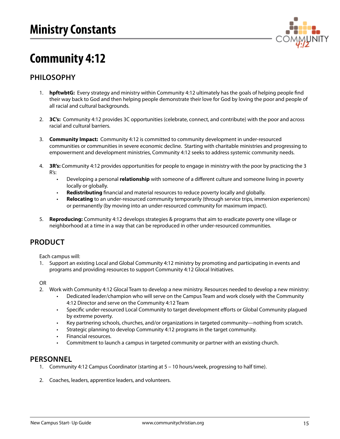# **Ministry Constants**



# **Community 4:12**

# **PHILOSOPHY**

- 1. **hpftwbtG:** Every strategy and ministry within Community 4:12 ultimately has the goals of helping people find their way back to God and then helping people demonstrate their love for God by loving the poor and people of all racial and cultural backgrounds.
- 2. **3C's:** Community 4:12 provides 3C opportunities (celebrate, connect, and contribute) with the poor and across racial and cultural barriers.
- 3. **Community Impact:** Community 4:12 is committed to community development in under-resourced communities or communities in severe economic decline. Starting with charitable ministries and progressing to empowerment and development ministries, Community 4:12 seeks to address systemic community needs.
- 4. **3R's:** Community 4:12 provides opportunities for people to engage in ministry with the poor by practicing the 3 R's:
	- • Developing a personal **relationship** with someone of a different culture and someone living in poverty locally or globally.
	- • **Redistributing** financial and material resources to reduce poverty locally and globally.
	- • **Relocating** to an under-resourced community temporarily (through service trips, immersion experiences) or permanently (by moving into an under-resourced community for maximum impact).
- 5. **Reproducing:** Community 4:12 develops strategies & programs that aim to eradicate poverty one village or neighborhood at a time in a way that can be reproduced in other under-resourced communities.

# **PRODUCT**

Each campus will:

1. Support an existing Local and Global Community 4:12 ministry by promoting and participating in events and programs and providing resources to support Community 4:12 Glocal Initiatives.

OR

- 2. Work with Community 4:12 Glocal Team to develop a new ministry. Resources needed to develop a new ministry:
	- Dedicated leader/champion who will serve on the Campus Team and work closely with the Community 4:12 Director and serve on the Community 4:12 Team
	- • Specific under-resourced Local Community to target development efforts or Global Community plagued by extreme poverty.
	- Key partnering schools, churches, and/or organizations in targeted community—nothing from scratch.
	- Strategic planning to develop Community 4:12 programs in the target community.
	- Financial resources.
	- Commitment to launch a campus in targeted community or partner with an existing church.

## **PERSONNEL**

- 1. Community 4:12 Campus Coordinator (starting at  $5 10$  hours/week, progressing to half time).
- 2. Coaches, leaders, apprentice leaders, and volunteers.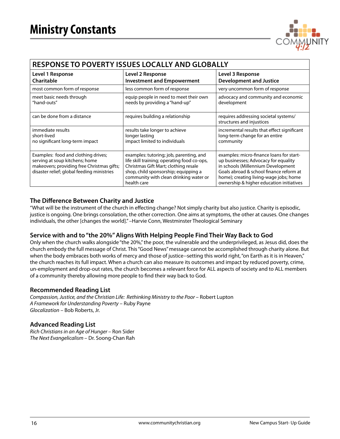

| <b>RESPONSE TO POVERTY ISSUES LOCALLY AND GLOBALLY</b>                                                                                                            |                                                                                                                                                                                                                                 |                                                                                                                                                                                                                                                         |  |
|-------------------------------------------------------------------------------------------------------------------------------------------------------------------|---------------------------------------------------------------------------------------------------------------------------------------------------------------------------------------------------------------------------------|---------------------------------------------------------------------------------------------------------------------------------------------------------------------------------------------------------------------------------------------------------|--|
| Level 1 Response<br>Charitable                                                                                                                                    | Level 2 Response<br><b>Investment and Empowerment</b>                                                                                                                                                                           | Level 3 Response<br><b>Development and Justice</b>                                                                                                                                                                                                      |  |
| most common form of response                                                                                                                                      | less common form of response                                                                                                                                                                                                    | very uncommon form of response                                                                                                                                                                                                                          |  |
| meet basic needs through<br>"hand-outs"                                                                                                                           | equip people in need to meet their own<br>needs by providing a "hand-up"                                                                                                                                                        | advocacy and community and economic<br>development                                                                                                                                                                                                      |  |
| can be done from a distance                                                                                                                                       | requires building a relationship                                                                                                                                                                                                | requires addressing societal systems/<br>structures and injustices                                                                                                                                                                                      |  |
| immediate results<br>short-lived<br>no significant long-term impact                                                                                               | results take longer to achieve<br>longer lasting<br>impact limited to individuals                                                                                                                                               | incremental results that effect significant<br>long-term change for an entire<br>community                                                                                                                                                              |  |
| Examples: food and clothing drives;<br>serving at soup kitchens; home<br>makeovers; providing free Christmas gifts;<br>disaster relief; global feeding ministries | examples: tutoring; job, parenting, and<br>life skill training; operating food co-ops,<br>Christmas Gift Mart; clothing resale<br>shop, child sponsorship; equipping a<br>community with clean drinking water or<br>health care | examples: micro-finance loans for start-<br>up businesses; Advocacy for equality<br>in schools (Millennium Development<br>Goals abroad & school finance reform at<br>home); creating living-wage jobs; home<br>ownership & higher education initiatives |  |

## **The Difference Between Charity and Justice**

"What will be the instrument of the church in effecting change? Not simply charity but also justice. Charity is episodic, justice is ongoing. One brings consolation, the other correction. One aims at symptoms, the other at causes. One changes individuals, the other [changes the world]." –Harvie Conn, Westminster Theological Seminary

## **Service with and to "the 20%" Aligns With Helping People Find Their Way Back to God**

Only when the church walks alongside "the 20%,"the poor, the vulnerable and the underprivileged, as Jesus did, does the church embody the full message of Christ. This"Good News"message cannot be accomplished through charity alone. But when the body embraces both works of mercy and those of justice--setting this world right, "on Earth as it is in Heaven," the church reaches its full impact. When a church can also measure its outcomes and impact by reduced poverty, crime, un-employment and drop-out rates, the church becomes a relevant force for ALL aspects of society and to ALL members of a community thereby allowing more people to find their way back to God.

## **Recommended Reading List**

*Compassion, Justice, and the Christian Life: Rethinking Ministry to the Poor – Robert Lupton A Framework for Understanding Poverty* – Ruby Payne *Glocalization* – Bob Roberts, Jr.

## **Advanced Reading List**

*Rich Christians in an Age of Hunger* – Ron Sider *The Next Evangelicalism* – Dr. Soong-Chan Rah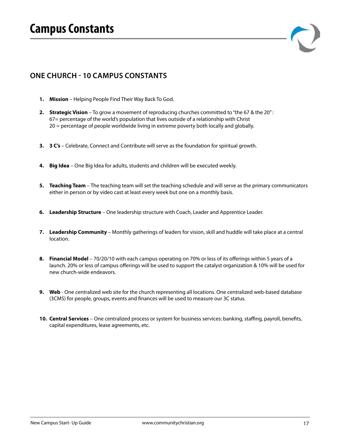# **Campus Constants**



# **One Church - 10 Campus Constants**

- **1. Mission**  Helping People Find Their Way Back To God.
- **2. Strategic Vision** To grow a movement of reproducing churches committed to"the 67 & the 20": 67= percentage of the world's population that lives outside of a relationship with Christ 20 = percentage of people worldwide living in extreme poverty both locally and globally.
- **3. 3 C's** Celebrate, Connect and Contribute will serve as the foundation for spiritual growth.
- **4. Big Idea** One Big Idea for adults, students and children will be executed weekly.
- **5. Teaching Team** The teaching team will set the teaching schedule and will serve as the primary communicators either in person or by video cast at least every week but one on a monthly basis.
- **6. Leadership Structure** One leadership structure with Coach, Leader and Apprentice Leader.
- **7. Leadership Community**  Monthly gatherings of leaders for vision, skill and huddle will take place at a central location.
- **8. Financial Model** 70/20/10 with each campus operating on 70% or less of its offerings within 5 years of a launch. 20% or less of campus offerings will be used to support the catalyst organization & 10% will be used for new church-wide endeavors.
- **9. Web** One centralized web site for the church representing all locations. One centralized web-based database (3CMS) for people, groups, events and finances will be used to measure our 3C status.
- **10. Central Services** One centralized process or system for business services: banking, staffing, payroll, benefits, capital expenditures, lease agreements, etc.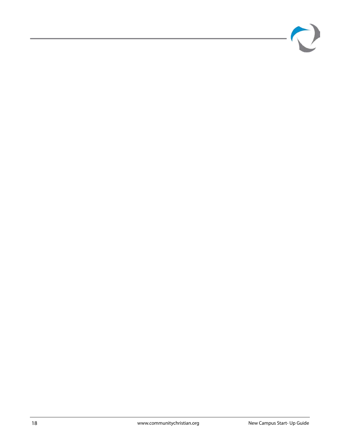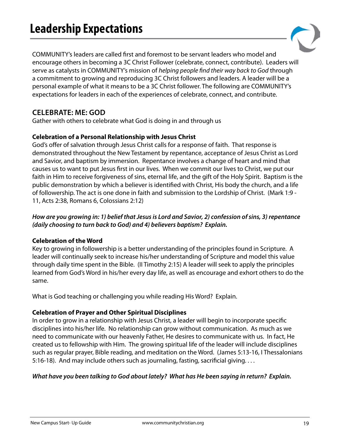

COMMUNITY's leaders are called first and foremost to be servant leaders who model and encourage others in becoming a 3C Christ Follower (celebrate, connect, contribute). Leaders will serve as catalysts in COMMUNITY's mission of *helping people find their way back to God* through a commitment to growing and reproducing 3C Christ followers and leaders. A leader will be a personal example of what it means to be a 3C Christ follower. The following are COMMUNITY's expectations for leaders in each of the experiences of celebrate, connect, and contribute.

# **Celebrate: me: God**

Gather with others to celebrate what God is doing in and through us

## **Celebration of a Personal Relationship with Jesus Christ**

God's offer of salvation through Jesus Christ calls for a response of faith. That response is demonstrated throughout the New Testament by repentance, acceptance of Jesus Christ as Lord and Savior, and baptism by immersion. Repentance involves a change of heart and mind that causes us to want to put Jesus first in our lives. When we commit our lives to Christ, we put our faith in Him to receive forgiveness of sins, eternal life, and the gift of the Holy Spirit. Baptism is the public demonstration by which a believer is identified with Christ, His body the church, and a life of followership. The act is one done in faith and submission to the Lordship of Christ. (Mark 1:9 - 11, Acts 2:38, Romans 6, Colossians 2:12)

## *How are you growing in: 1) belief that Jesus is Lord and Savior, 2) confession of sins, 3) repentance (daily choosing to turn back to God) and 4) believers baptism? Explain.*

## **Celebration of the Word**

Key to growing in followership is a better understanding of the principles found in Scripture. A leader will continually seek to increase his/her understanding of Scripture and model this value through daily time spent in the Bible. (II Timothy 2:15) A leader will seek to apply the principles learned from God's Word in his/her every day life, as well as encourage and exhort others to do the same.

What is God teaching or challenging you while reading His Word? Explain.

# **Celebration of Prayer and Other Spiritual Disciplines**

In order to grow in a relationship with Jesus Christ, a leader will begin to incorporate specific disciplines into his/her life. No relationship can grow without communication. As much as we need to communicate with our heavenly Father, He desires to communicate with us. In fact, He created us to fellowship with Him. The growing spiritual life of the leader will include disciplines such as regular prayer, Bible reading, and meditation on the Word. (James 5:13-16, I Thessalonians 5:16-18). And may include others such as journaling, fasting, sacrificial giving. . . .

## *What have you been talking to God about lately? What has He been saying in return? Explain.*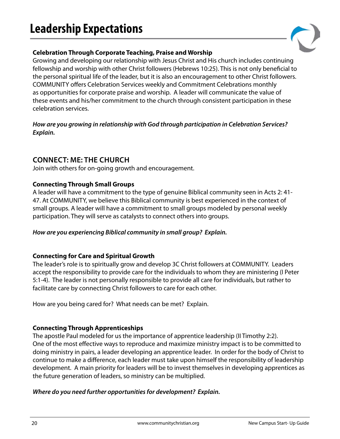

# **Celebration Through Corporate Teaching, Praise and Worship**

Growing and developing our relationship with Jesus Christ and His church includes continuing fellowship and worship with other Christ followers (Hebrews 10:25). This is not only beneficial to the personal spiritual life of the leader, but it is also an encouragement to other Christ followers. COMMUNITY offers Celebration Services weekly and Commitment Celebrations monthly as opportunities for corporate praise and worship. A leader will communicate the value of these events and his/her commitment to the church through consistent participation in these celebration services.

# *How are you growing in relationship with God through participation in Celebration Services? Explain.*

# **Connect: me: the church**

Join with others for on-going growth and encouragement.

# **Connecting Through Small Groups**

A leader will have a commitment to the type of genuine Biblical community seen in Acts 2: 41- 47. At COMMUNITY, we believe this Biblical community is best experienced in the context of small groups. A leader will have a commitment to small groups modeled by personal weekly participation. They will serve as catalysts to connect others into groups.

## *How are you experiencing Biblical community in small group? Explain.*

# **Connecting for Care and Spiritual Growth**

The leader's role is to spiritually grow and develop 3C Christ followers at COMMUNITY. Leaders accept the responsibility to provide care for the individuals to whom they are ministering (I Peter 5:1-4). The leader is not personally responsible to provide all care for individuals, but rather to facilitate care by connecting Christ followers to care for each other.

How are you being cared for? What needs can be met? Explain.

# **Connecting Through Apprenticeships**

The apostle Paul modeled for us the importance of apprentice leadership (II Timothy 2:2). One of the most effective ways to reproduce and maximize ministry impact is to be committed to doing ministry in pairs, a leader developing an apprentice leader. In order for the body of Christ to continue to make a difference, each leader must take upon himself the responsibility of leadership development. A main priority for leaders will be to invest themselves in developing apprentices as the future generation of leaders, so ministry can be multiplied.

# *Where do you need further opportunities for development? Explain.*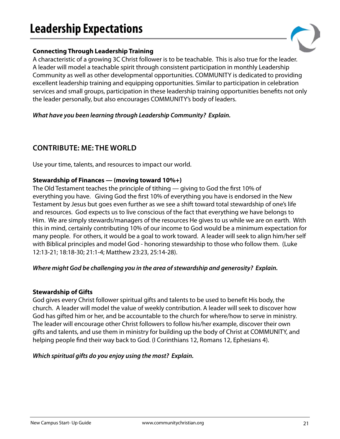# **Connecting Through Leadership Training**

A characteristic of a growing 3C Christ follower is to be teachable. This is also true for the leader. A leader will model a teachable spirit through consistent participation in monthly Leadership Community as well as other developmental opportunities. COMMUNITY is dedicated to providing excellent leadership training and equipping opportunities. Similar to participation in celebration services and small groups, participation in these leadership training opportunities benefits not only the leader personally, but also encourages COMMUNITY's body of leaders.

*What have you been learning through Leadership Community? Explain.*

# **Contribute: me: the world**

Use your time, talents, and resources to impact our world.

## **Stewardship of Finances — (moving toward 10%+)**

The Old Testament teaches the principle of tithing — giving to God the first 10% of everything you have. Giving God the first 10% of everything you have is endorsed in the New Testament by Jesus but goes even further as we see a shift toward total stewardship of one's life and resources. God expects us to live conscious of the fact that everything we have belongs to Him. We are simply stewards/managers of the resources He gives to us while we are on earth. With this in mind, certainly contributing 10% of our income to God would be a minimum expectation for many people. For others, it would be a goal to work toward. A leader will seek to align him/her self with Biblical principles and model God - honoring stewardship to those who follow them. (Luke 12:13-21; 18:18-30; 21:1-4; Matthew 23:23, 25:14-28).

## *Where might God be challenging you in the area of stewardship and generosity? Explain.*

## **Stewardship of Gifts**

God gives every Christ follower spiritual gifts and talents to be used to benefit His body, the church. A leader will model the value of weekly contribution. A leader will seek to discover how God has gifted him or her, and be accountable to the church for where/how to serve in ministry. The leader will encourage other Christ followers to follow his/her example, discover their own gifts and talents, and use them in ministry for building up the body of Christ at COMMUNITY, and helping people find their way back to God. (I Corinthians 12, Romans 12, Ephesians 4).

## *Which spiritual gifts do you enjoy using the most? Explain.*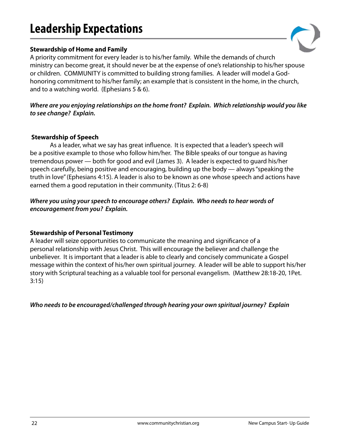# **Leadership Expectations**

## **Stewardship of Home and Family**

A priority commitment for every leader is to his/her family. While the demands of church ministry can become great, it should never be at the expense of one's relationship to his/her spouse or children. COMMUNITY is committed to building strong families. A leader will model a Godhonoring commitment to his/her family; an example that is consistent in the home, in the church, and to a watching world. (Ephesians 5 & 6).

*Where are you enjoying relationships on the home front? Explain. Which relationship would you like to see change? Explain.* 

## **Stewardship of Speech**

 As a leader, what we say has great influence. It is expected that a leader's speech will be a positive example to those who follow him/her. The Bible speaks of our tongue as having tremendous power — both for good and evil (James 3). A leader is expected to guard his/her speech carefully, being positive and encouraging, building up the body — always"speaking the truth in love"(Ephesians 4:15). A leader is also to be known as one whose speech and actions have earned them a good reputation in their community. (Titus 2: 6-8)

*Where you using your speech to encourage others? Explain. Who needs to hear words of encouragement from you? Explain.*

## **Stewardship of Personal Testimony**

A leader will seize opportunities to communicate the meaning and significance of a personal relationship with Jesus Christ. This will encourage the believer and challenge the unbeliever. It is important that a leader is able to clearly and concisely communicate a Gospel message within the context of his/her own spiritual journey. A leader will be able to support his/her story with Scriptural teaching as a valuable tool for personal evangelism. (Matthew 28:18-20, 1Pet. 3:15)

*Who needs to be encouraged/challenged through hearing your own spiritual journey? Explain*

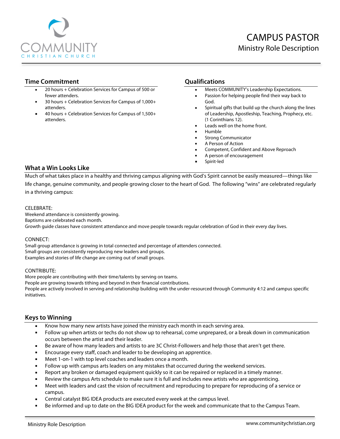

### **Time Commitment**

- 20 hours + Celebration Services for Campus of 500 or fewer attenders.
- 30 hours + Celebration Services for Campus of 1,000+ attenders.
- 40 hours + Celebration Services for Campus of 1,500+ attenders.

#### **Qualifications**

- Meets COMMUNITY's Leadership Expectations.
- Passion for helping people find their way back to God.
- Spiritual gifts that build up the church along the lines of Leadership, Apostleship, Teaching, Prophecy, etc. (1 Corinthians 12).
- Leads well on the home front.
- Humble
- Strong Communicator
- A Person of Action
- Competent, Confident and Above Reproach
- A person of encouragement
- Spirit-led

#### **What a Win Looks Like**

Much of what takes place in a healthy and thriving campus aligning with God's Spirit cannot be easily measured—things like life change, genuine community, and people growing closer to the heart of God. The following "wins" are celebrated regularly in a thriving campus:

#### CELEBRATE:

Weekend attendance is consistently growing. Baptisms are celebrated each month. Growth guide classes have consistent attendance and move people towards regular celebration of God in their every day lives.

#### CONNECT:

Small group attendance is growing in total connected and percentage of attenders connected. Small groups are consistently reproducing new leaders and groups. Examples and stories of life change are coming out of small groups.

#### CONTRIBUTE:

More people are contributing with their time/talents by serving on teams. People are growing towards tithing and beyond in their financial contributions. People are actively involved in serving and relationship building with the under-resourced through Community 4:12 and campus specific initiatives.

#### $\mathbf{y}$  and  $\mathbf{y}$  is  $\mathbf{y}$  are producing and small group leaders. **Keys to Winning reproduced.**

- **The campus is moving another campus reproducion** Know how many neach serving area.
- Follow up when artists or techs do not show up to rehearsal, come unprepared, or a break down in communication occurs between the artist and their leader.
- Be aware of how many leaders and artists to are 3C Christ-Followers and help those that aren't get there.
- Encourage every staff, coach and leader to be developing an apprentice.
- Meet 1-on-1 with top level coaches and leaders once a month.
- Follow up with campus arts leaders on any mistakes that occurred during the weekend services.
- Report any broken or damaged equipment quickly so it can be repaired or replaced in a timely manner.
- Review the campus Arts schedule to make sure it is full and includes new artists who are apprenticing.
- Meet with leaders and cast the vision of recruitment and reproducing to prepare for reproducing of a service or campus.
- Central catalyst BIG IDEA products are executed every week at the campus level.
- Be informed and up to date on the BIG IDEA product for the week and communicate that to the Campus Team.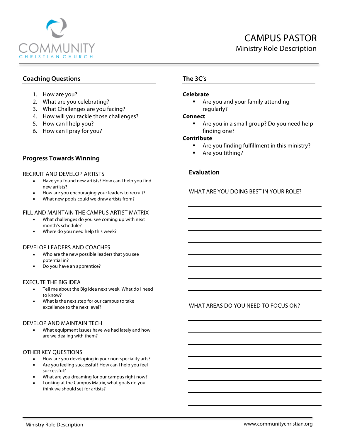

# CAMPUS PASTOR Ministry Role Description

## **Coaching Questions**

- 1. How are you?
- 2. What are you celebrating?
- 3. What Challenges are you facing?
- 4. How will you tackle those challenges?
- 5. How can I help you?
- 6. How can I pray for you?

# Are you tithing? **Progress Towards Winning**

#### RECRUIT AND DEVELOP ARTISTS

- Have you found new artists? How can I help you find new artists?
- How are you encouraging your leaders to recruit?
- What new pools could we draw artists from?

#### FILL AND MAINTAIN THE CAMPUS ARTIST MATRIX

- What challenges do you see coming up with next month's schedule?
- **Where do you need help this week?**

#### DEVELOP LEADERS AND COACHES

- Who are the new possible leaders that you see potential in?
- Do you have an apprentice?

#### EXECUTE THE BIG IDEA

- **Tell me about the Big Idea next week. What do I need** to know?
- What is the next step for our campus to take excellence to the next level?

#### DEVELOP AND MAINTAIN TECH

**What equipment issues have we had lately and how** are we dealing with them?

#### OTHER KEY QUESTIONS

- How are you developing in your non-speciality arts?
- Are you feeling successful? How can I help you feel successful?
- What are you dreaming for our campus right now?
- Looking at the Campus Matrix, what goals do you think we should set for artists?

## **The 3C's**

## **Celebrate**

**Are you and your family attending** regularly?

#### **Connect**

 Are you in a small group? Do you need help finding one?

#### **Contribute**

- Are you finding fulfillment in this ministry?
- 

## **Evaluation**

WHAT ARE YOU DOING BEST IN YOUR ROLE?

WHAT AREAS DO YOU NEED TO FOCUS ON?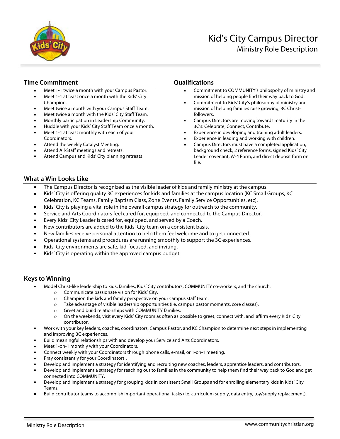

## **Time Commitment**

- Meet 1-1 twice a month with your Campus Pastor.
- Meet 1-1 at least once a month with the Kids' City Champion.
- Meet twice a month with your Campus Staff Team.
- Meet twice a month with the Kids' City Staff Team.
- **Monthly participation in Leadership Community.**
- **Huddle with your Kids' City Staff Team once a month.**
- Meet 1-1 at least monthly with each of your Coordinators.
- Attend the weekly Catalyst Meeting.
- Attend All-Staff meetings and retreats.
- Attend Campus and Kids' City planning retreats

## **Qualifications**

- Commitment to COMMUNITY's philospohy of ministry and mission of helping people find their way back to God.
- Commitment to Kids' City's philosophy of ministry and mission of helping families raise growing, 3C Christfollowers.
- Campus Directors are moving towards maturity in the 3C's: Celebrate, Connect, Contribute.
- Experience in developing and training adult leaders.
- Experience in leading and working with children.
- Campus Directors must have a completed application, background check, 2 reference forms, signed Kids' City Leader covenant, W-4 Form, and direct deposit form on file.

#### **What a Win Looks Like**

- The Campus Director is recognized as the visible leader of kids and family ministry at the campus.
- Kids' City is offering quality 3C experiences for kids and families at the campus location (KC Small Groups, KC Celebration, KC Teams, Family Baptism Class, Zone Events, Family Service Opportunities, etc).
- Kids' City is playing a vital role in the overall campus strategy for outreach to the community.
- Service and Arts Coordinators feel cared for, equipped, and connected to the Campus Director.
- Every Kids' City Leader is cared for, equipped, and served by a Coach.
- New contributors are added to the Kids' City team on a consistent basis.
- New families receive personal attention to help them feel welcome and to get connected.
- Operational systems and procedures are running smoothly to support the 3C experiences.
- Kids' City environments are safe, kid-focused, and inviting.
- Kids' City is operating within the approved campus budget.

## **Keys to Winning**

- Model Christ-like leadership to kids, families, Kids' City contributors, COMMUNITY co-workers, and the church.
	- o Communicate passionate vision for Kids' City.
	- o Champion the kids and family perspective on your campus staff team.
	- o Take advantage of visible leadership opportunities (i.e. campus pastor moments, core classes).
	- o Greet and build relationships with COMMUNITY families.
	- $\circ$  On the weekends, visit every Kids' City room as often as possible to greet, connect with, and affirm every Kids' City contributor.
- Work with your key leaders, coaches, coordinators, Campus Pastor, and KC Champion to determine next steps in implementing and improving 3C experiences.
- Build meaningful relationships with and develop your Service and Arts Coordinators.
- Meet 1-on-1 monthly with your Coordinators.
- Connect weekly with your Coordinators through phone calls, e-mail, or 1-on-1 meeting.
- Pray consistently for your Coordinators .
- Develop and implement a strategy for identifying and recruiting new coaches, leaders, apprentice leaders, and contributors.
- Develop and implement a strategy for reaching out to families in the community to help them find their way back to God and get connected into COMMUNITY.
- Develop and implement a strategy for grouping kids in consistent Small Groups and for enrolling elementary kids in Kids' City Teams.
- Build contributor teams to accomplish important operational tasks (i.e. curriculum supply, data entry, toy/supply replacement).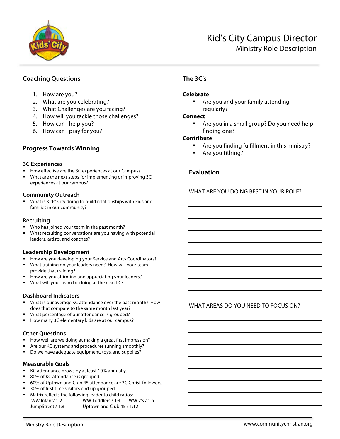

# Kid's City Campus Director Ministry Role Description

## **Coaching Questions**

- 1. How are you?
- 2. What are you celebrating?
- 3. What Challenges are you facing?
- 4. How will you tackle those challenges?
- 5. How can I help you?
- 6. How can I pray for you?

# **Progress Towards Winning**<br> **Progress Towards Winning**<br> **Progress Towards Winning**

#### **3C Experiences**

- How effective are the 3C experiences at our Campus?
- What are the next steps for implementing or improving 3C experiences at our campus?

#### **Community Outreach**

 What is Kids' City doing to build relationships with kids and families in our community?

#### **Recruiting**

- Who has joined your team in the past month?
- What recruiting conversations are you having with potential leaders, artists, and coaches?

#### **Leadership Development**

- How are you developing your Service and Arts Coordinators?
- What training do your leaders need? How will your team provide that training?
- How are you affirming and appreciating your leaders?
- What will your team be doing at the next LC?

#### **Dashboard Indicators**

- What is our average KC attendance over the past month? How does that compare to the same month last year?
- What percentage of our attendance is grouped?
- How many 3C elementary kids are at our campus?

#### **Other Questions**

- How well are we doing at making a great first impression?
- Are our KC systems and procedures running smoothly?
- Do we have adequate equipment, toys, and supplies?

#### **Measurable Goals**

- KC attendance grows by at least 10% annually.
- 80% of KC attendance is grouped.
- 60% of Uptown and Club 45 attendance are 3C Christ-followers.
- 30% of first time visitors end up grouped. Matrix reflects the following leader to child ratios:

| Matrix reflects the following leader to child ratios. |                           |                |
|-------------------------------------------------------|---------------------------|----------------|
| WW Infant/ 1:2                                        | WW Toddlers / 1:4         | WW 2's $/$ 1:6 |
| JumpStreet / 1:8                                      | Uptown and Club 45 / 1:12 |                |

## **The 3C's**

#### **Celebrate**

**Are you and your family attending** regularly?

#### **Connect**

 Are you in a small group? Do you need help finding one?

#### **Contribute**

- Are you finding fulfillment in this ministry?
- 

## **Evaluation**

WHAT ARE YOU DOING BEST IN YOUR ROLE?

WHAT AREAS DO YOU NEED TO FOCUS ON?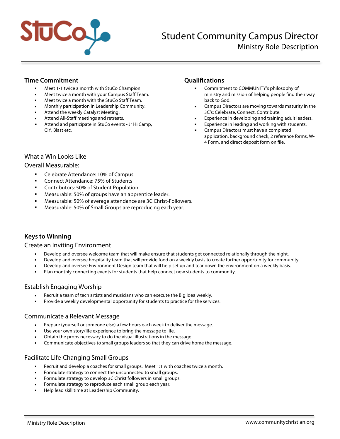

# Student Community Campus Director Ministry Role Description

#### **Time Commitment**

- Meet 1-1 twice a month with StuCo Champion
- Meet twice a month with your Campus Staff Team.
- Meet twice a month with the StuCo Staff Team.
- Monthly participation in Leadership Community.
- Attend the weekly Catalyst Meeting.
- Attend All-Staff meetings and retreats.
- Attend and participate in StuCo events Jr Hi Camp, CIY, Blast etc.

### **Qualifications**

- Commitment to COMMUNITY's philosophy of ministry and mission of helping people find their way back to God.
- Campus Directors are moving towards maturity in the 3C's: Celebrate, Connect, Contribute.
- Experience in developing and training adult leaders.
- Experience in leading and working with students.
- Campus Directors must have a completed application, background check, 2 reference forms, W-4 Form, and direct deposit form on file.

#### What a Win Looks Like

#### Overall Measurable:

- Celebrate Attendance: 10% of Campus
- **EXECONDECT Attendance: 75% of Students**
- Contributors: 50% of Student Population
- Measurable: 50% of groups have an apprentice leader.
- Measurable: 50% of average attendance are 3C Christ-Followers.
- Measurable: 50% of Small Groups are reproducing each year.

#### **Keys to Winning**

#### Create an Inviting Environment

- Develop and oversee welcome team that will make ensure that students get connected relationally through the night.
- Develop and oversee hospitality team that will provide food on a weekly basis to create further opportunity for community.
- Develop and oversee Environment Design team that will help set up and tear down the environment on a weekly basis.
- Plan monthly connecting events for students that help connect new students to community.

## Establish Engaging Worship

- Recruit a team of tech artists and musicians who can execute the Big Idea weekly.
- Provide a weekly developmental opportunity for students to practice for the services.

#### Communicate a Relevant Message

- Prepare (yourself or someone else) a few hours each week to deliver the message.
- Use your own story/life experience to bring the message to life.
- Obtain the props necessary to do the visual illustrations in the message.
- Communicate objectives to small groups leaders so that they can drive home the message.

## Facilitate Life-Changing Small Groups

- Recruit and develop a coaches for small groups. Meet 1:1 with coaches twice a month.
- Formulate strategy to connect the unconnected to small groups.
- Formulate strategy to develop 3C Christ followers in small groups.
- Formulate strategy to reproduce each small group each year.
- Help lead skill time at Leadership Community.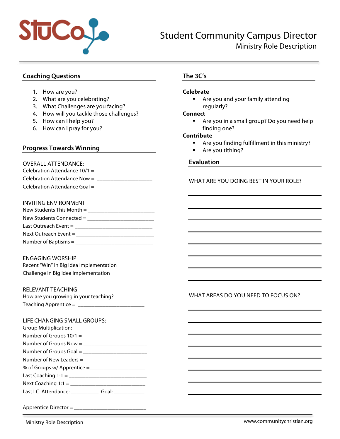

## **Coaching Questions**

- 1. How are you?
- 2. What are you celebrating?
- 3. What Challenges are you facing?
- 4. How will you tackle those challenges?
- 5. How can I help you?
- 6. How can I pray for you?

# **Progress Towards Winning**<br> **Progress Towards Winning**

| OVERALL ATTENDANCE:<br>Celebration Attendance $10/1 =$ |  |
|--------------------------------------------------------|--|
| Celebration Attendance Now =                           |  |
| Celebration Attendance Goal =                          |  |

#### INVITING ENVIRONMENT

| New Students This Month = ___________ |  |
|---------------------------------------|--|
| New Students Connected =              |  |
| Last Outreach Event =                 |  |
| Next Outreach Event =                 |  |
| Number of Baptisms $=$ _              |  |

#### ENGAGING WORSHIP

Recent "Win" in Big Idea Implementation Challenge in Big Idea Implementation

#### RELEVANT TEACHING

| How are you growing in your teaching? |  |
|---------------------------------------|--|
| Teaching Apprentice =                 |  |

#### LIFE CHANGING SMALL GROUPS:

| <b>Group Multiplication:</b>                                   |
|----------------------------------------------------------------|
| Number of Groups $10/1 =$                                      |
| Number of Groups Now $=$ _______                               |
| Number of Groups Goal $=$                                      |
| Number of New Leaders $=$ _____                                |
|                                                                |
| Last Coaching $1:1=$                                           |
| Next Coaching $1:1 =$                                          |
| Last LC Attendance: __________<br>Goal: $\qquad \qquad \qquad$ |

Apprentice Director  $=$  \_

## **The 3C's**

#### **Celebrate**

**Are you and your family attending** regularly?

#### **Connect**

 Are you in a small group? Do you need help finding one?

#### **Contribute**

- Are you finding fulfillment in this ministry?
- 

#### **Evaluation**

WHAT ARE YOU DOING BEST IN YOUR ROLE?

WHAT AREAS DO YOU NEED TO FOCUS ON?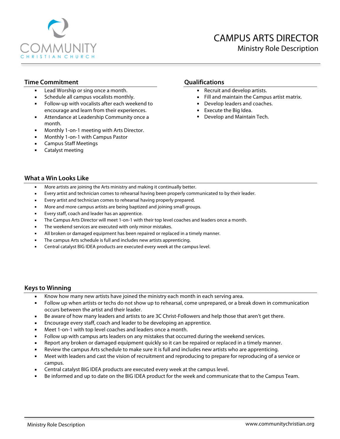

## **Time Commitment**

- Lead Worship or sing once a month.
- **Schedule all campus vocalists monthly.**
- Follow-up with vocalists after each weekend to encourage and learn from their experiences.
- Attendance at Leadership Community once a month.
- Monthly 1-on-1 meeting with Arts Director.
- Monthly 1-on-1 with Campus Pastor
- **Campus Staff Meetings**
- Catalyst meeting

### **Qualifications**

- Recruit and develop artists.
- Fill and maintain the Campus artist matrix.
- Develop leaders and coaches.
- **Execute the Big Idea.**
- **Develop and Maintain Tech.**

#### **What a Win Looks Like**

- More artists are joining the Arts ministry and making it continually better.
- Every artist and technician comes to rehearsal having been properly communicated to by their leader.
- Every artist and technician comes to rehearsal having properly prepared.
- More and more campus artists are being baptized and joining small groups.
- Every staff, coach and leader has an apprentice.
- The Campus Arts Director will meet 1-on-1 with their top level coaches and leaders once a month.
- The weekend services are executed with only minor mistakes.
- All broken or damaged equipment has been repaired or replaced in a timely manner.
- The campus Arts schedule is full and includes new artists apprenticing.
- Central catalyst BIG IDEA products are executed every week at the campus level.

## **Keys to Winning**

- Know how many new artists have joined the ministry each month in each serving area.
- Follow up when artists or techs do not show up to rehearsal, come unprepared, or a break down in communication occurs between the artist and their leader.
- Be aware of how many leaders and artists to are 3C Christ-Followers and help those that aren't get there.
- Encourage every staff, coach and leader to be developing an apprentice.
- Meet 1-on-1 with top level coaches and leaders once a month.
- Follow up with campus arts leaders on any mistakes that occurred during the weekend services.
- Report any broken or damaged equipment quickly so it can be repaired or replaced in a timely manner.
- Review the campus Arts schedule to make sure it is full and includes new artists who are apprenticing.
- Meet with leaders and cast the vision of recruitment and reproducing to prepare for reproducing of a service or campus.
- Central catalyst BIG IDEA products are executed every week at the campus level.
- Be informed and up to date on the BIG IDEA product for the week and communicate that to the Campus Team.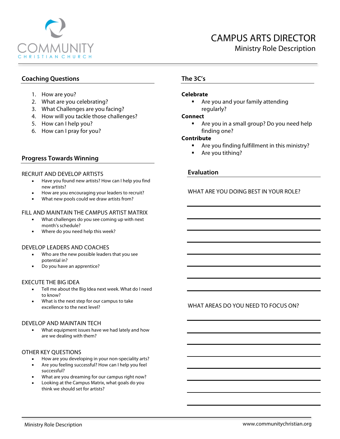

# CAMPUS ARTS DIRECTOR Ministry Role Description

## **Coaching Questions**

- 1. How are you?
- 2. What are you celebrating?
- 3. What Challenges are you facing?
- 4. How will you tackle those challenges?
- 5. How can I help you?
- 6. How can I pray for you?

# Are you tithing? **Progress Towards Winning**

#### RECRUIT AND DEVELOP ARTISTS

- Have you found new artists? How can I help you find new artists?
- How are you encouraging your leaders to recruit?
- What new pools could we draw artists from?

#### FILL AND MAINTAIN THE CAMPUS ARTIST MATRIX

- What challenges do you see coming up with next month's schedule?
- **Where do you need help this week?**

#### DEVELOP LEADERS AND COACHES

- Who are the new possible leaders that you see potential in?
- Do you have an apprentice?

#### EXECUTE THE BIG IDEA

- Tell me about the Big Idea next week. What do I need to know?
- What is the next step for our campus to take excellence to the next level?

#### DEVELOP AND MAINTAIN TECH

 What equipment issues have we had lately and how are we dealing with them?

#### OTHER KEY QUESTIONS

- How are you developing in your non-speciality arts?
- Are you feeling successful? How can I help you feel successful?
- What are you dreaming for our campus right now?
- Looking at the Campus Matrix, what goals do you think we should set for artists?

## **The 3C's**

### **Celebrate**

**Are you and your family attending** regularly?

#### **Connect**

 Are you in a small group? Do you need help finding one?

#### **Contribute**

- Are you finding fulfillment in this ministry?
- 

## **Evaluation**

WHAT ARE YOU DOING BEST IN YOUR ROLE?

WHAT AREAS DO YOU NEED TO FOCUS ON?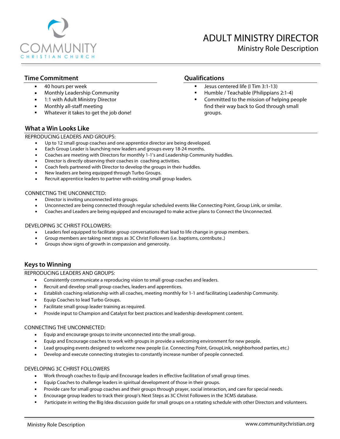

## **Time Commitment**

- 40 hours per week
- Monthly Leadership Community
- 1:1 with Adult Ministry Director
- Monthly all-staff meeting
- Whatever it takes to get the job done!

#### **What a Win Looks Like**

#### REPRODUCING LEADERS AND GROUPS:

- Up to 12 small group coaches and one apprentice director are being developed.
- Each Group Leader is launching new leaders and groups every 18-24 months.
- Coaches are meeting with Directors for monthly 1-1's and Leadership Community huddles.
- Director is directly observing their coaches in coaching activities.
- Coach feels partnered with Director to develop the groups in their huddles.
- New leaders are being equipped through Turbo Groups.
- Recruit apprentice leaders to partner with existing small group leaders.

#### CONNECTING THE UNCONNECTED:

- Director is inviting unconnected into groups.
- Unconnected are being connected through regular scheduled events like Connecting Point, Group Link, or similar.
- Coaches and Leaders are being equipped and encouraged to make active plans to Connect the Unconnected.

#### DEVELOPING 3C CHRIST FOLLOWERS:

- Leaders feel equipped to facilitate group conversations that lead to life change in group members.
- Group members are taking next steps as 3C Christ Followers (i.e. baptisms, contribute..)
- Groups show signs of growth in compassion and generosity.

#### **Keys to Winning**

REPRODUCING LEADERS AND GROUPS:

- Consistently communicate a reproducing vision to small group coaches and leaders.
- Recruit and develop small group coaches, leaders and apprentices.
- Establish coaching relationship with all coaches, meeting monthly for 1-1 and facilitating Leadership Community.
- Equip Coaches to lead Turbo Groups.
- Facilitate small group leader training as required.
- Provide input to Champion and Catalyst for best practices and leadership development content.

## CONNECTING THE UNCONNECTED:

- Equip and encourage groups to invite unconnected into the small group.
- Equip and Encourage coaches to work with groups in provide a welcoming environment for new people.
- Lead grouping events designed to welcome new people (i.e. Connecting Point, GroupLink, neighborhood parties, etc.)
- Develop and execute connecting strategies to constantly increase number of people connected.

#### DEVELOPING 3C CHRIST FOLLOWERS

- Work through coaches to Equip and Encourage leaders in effective facilitation of small group times.
- Equip Coaches to challenge leaders in spiritual development of those in their groups.
- Provide care for small group coaches and their groups through prayer, social interaction, and care for special needs.
- Encourage group leaders to track their group's Next Steps as 3C Christ Followers in the 3CMS database.
- Participate in writing the Big Idea discussion guide for small groups on a rotating schedule with other Directors and volunteers.
- Jesus centered life (I Tim 3:1-13)
- Humble / Teachable (Philippians 2:1-4)
- Committed to the mission of helping people find their way back to God through small groups.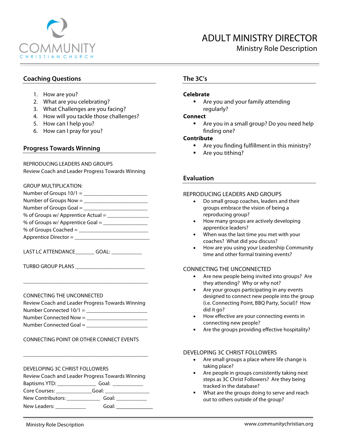

# ADULT MINISTRY DIRECTOR Ministry Role Description

## **Coaching Questions**

- 1. How are you?
- 2. What are you celebrating?
- 3. What Challenges are you facing?
- 4. How will you tackle those challenges?
- 5. How can I help you?
- 6. How can I pray for you?

# **Progress Towards Winning**<br>**Progress Towards Winning**<br>**Region titles of the Section Area Proportional Area Proportional Area Proportional Area Proportional Area Proportional Area Proportional Area Proportional Area Proport**

REPRODUCING LEADERS AND GROUPS Review Coach and Leader Progress Towards Winning

GROUP MULTIPLICATION:

| Number of Groups $10/1 =$          |
|------------------------------------|
| Number of Groups Now $=$           |
| Number of Groups Goal =            |
| % of Groups w/ Apprentice Actual = |
| % of Groups w/ Apprentice Goal =   |
| % of Groups Coached =              |
| Apprentice Director $=$            |

LAST LC ATTENDANCE\_\_\_\_\_\_\_\_\_ GOAL: \_\_\_\_\_\_\_\_\_\_\_\_

TURBO GROUP PLANS \_\_\_\_\_\_\_\_\_\_\_\_\_\_\_\_\_\_\_\_\_\_\_\_\_

CONNECTING THE UNCONNECTED

| Review Coach and Leader Progress Towards Winning |
|--------------------------------------------------|
| Number Connected $10/1 =$                        |
| Number Connected Now $=$                         |
| Number Connected Goal =                          |

**\_\_\_\_\_\_\_\_\_\_\_\_\_\_\_\_\_\_\_\_\_\_\_\_\_\_\_\_\_\_\_\_\_\_\_\_\_\_\_\_\_\_\_\_\_**

#### CONNECTING POINT OR OTHER CONNECT EVENTS

**\_\_\_\_\_\_\_\_\_\_\_\_\_\_\_\_\_\_\_\_\_\_\_\_\_\_\_\_\_\_\_\_\_\_\_\_\_\_\_\_\_\_\_\_\_**

#### DEVELOPING 3C CHRIST FOLLOWERS

| Review Coach and Leader Progress Towards Winning |                               |  |
|--------------------------------------------------|-------------------------------|--|
| Baptisms YTD: _______________                    | Goal: _____________           |  |
| Core Courses: North Core                         | Goal:                         |  |
| New Contributors:                                | Goal: <b>Solidary Company</b> |  |
| New Leaders: _____________                       | Goal:                         |  |

## **The 3C's**

### **Celebrate**

**Are you and your family attending** regularly?

#### **Connect**

 Are you in a small group? Do you need help finding one?

#### **Contribute**

- Are you finding fulfillment in this ministry?
- 

## **Evaluation**

#### REPRODUCING LEADERS AND GROUPS

- Do small group coaches, leaders and their groups embrace the vision of being a reproducing group?
- **How many groups are actively developing** apprentice leaders?
- **When was the last time you met with your** coaches? What did you discuss?
- How are you using your Leadership Community time and other formal training events?

#### CONNECTING THE UNCONNECTED

- Are new people being invited into groups? Are they attending? Why or why not?
- Are your groups participating in any events designed to connect new people into the group (i.e. Connecting Point, BBQ Party, Social)? How did it go?
- How effective are your connecting events in connecting new people?
- Are the groups providing effective hospitality?

#### DEVELOPING 3C CHRIST FOLLOWERS

- Are small groups a place where life change is taking place?
- Are people in groups consistently taking next steps as 3C Christ Followers? Are they being tracked in the database?
- What are the groups doing to serve and reach out to others outside of the group?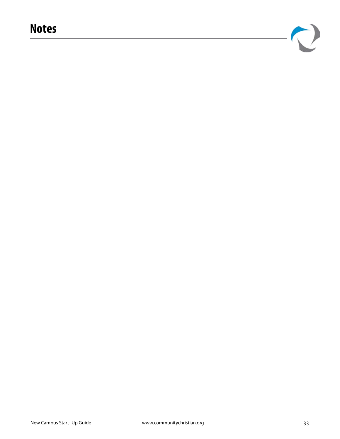